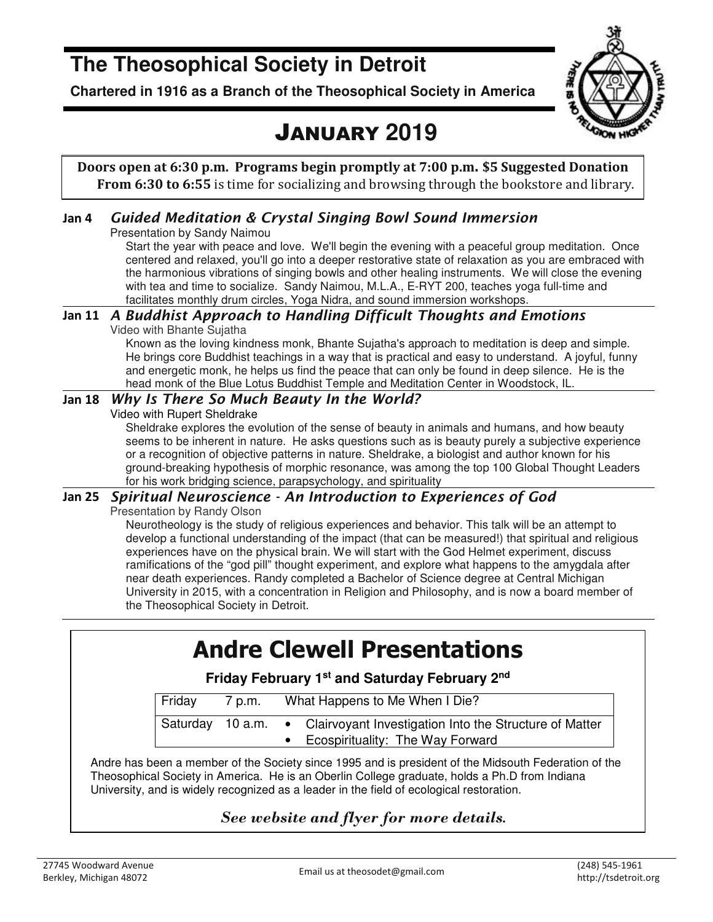# **The Theosophical Society in Detroit**

**Chartered in 1916 as a Branch of the Theosophical Society in America** 



# JANUARY **2019**

**Doors open at 6:30 p.m. Programs begin promptly at 7:00 p.m. \$5 Suggested Donation From 6:30 to 6:55** is time for socializing and browsing through the bookstore and library.

### **Jan 4** *Guided Meditation & Crystal Singing Bowl Sound Immersion*

Presentation by Sandy Naimou

Start the year with peace and love. We'll begin the evening with a peaceful group meditation. Once centered and relaxed, you'll go into a deeper restorative state of relaxation as you are embraced with the harmonious vibrations of singing bowls and other healing instruments. We will close the evening with tea and time to socialize. Sandy Naimou, M.L.A., E-RYT 200, teaches yoga full-time and facilitates monthly drum circles, Yoga Nidra, and sound immersion workshops.

#### **Jan 11** *A Buddhist Approach to Handling Difficult Thoughts and Emotions*

Video with Bhante Sujatha

Known as the loving kindness monk, Bhante Sujatha's approach to meditation is deep and simple. He brings core Buddhist teachings in a way that is practical and easy to understand. A joyful, funny and energetic monk, he helps us find the peace that can only be found in deep silence. He is the head monk of the Blue Lotus Buddhist Temple and Meditation Center in Woodstock, IL.

#### **Jan 18** *Why Is There So Much Beauty In the World?*

Video with Rupert Sheldrake

Sheldrake explores the evolution of the sense of beauty in animals and humans, and how beauty seems to be inherent in nature. He asks questions such as is beauty purely a subjective experience or a recognition of objective patterns in nature. Sheldrake, a biologist and author known for his ground-breaking hypothesis of morphic resonance, was among the top 100 Global Thought Leaders for his work bridging science, parapsychology, and spirituality

#### **Jan 25** *Spiritual Neuroscience - An Introduction to Experiences of God*

Presentation by Randy Olson

Neurotheology is the study of religious experiences and behavior. This talk will be an attempt to develop a functional understanding of the impact (that can be measured!) that spiritual and religious experiences have on the physical brain. We will start with the God Helmet experiment, discuss ramifications of the "god pill" thought experiment, and explore what happens to the amygdala after near death experiences. Randy completed a Bachelor of Science degree at Central Michigan University in 2015, with a concentration in Religion and Philosophy, and is now a board member of the Theosophical Society in Detroit.

# **Andre Clewell Presentations**

**Friday February 1st and Saturday February 2nd** 

| Friday           | 7 p.m. | What Happens to Me When I Die? |                                                        |
|------------------|--------|--------------------------------|--------------------------------------------------------|
| Saturday 10 a.m. |        | $\bullet$                      | Clairvoyant Investigation Into the Structure of Matter |
|                  |        |                                | Ecospirituality: The Way Forward                       |

Andre has been a member of the Society since 1995 and is president of the Midsouth Federation of the Theosophical Society in America. He is an Oberlin College graduate, holds a Ph.D from Indiana University, and is widely recognized as a leader in the field of ecological restoration.

### *See website and flyer for more details.*